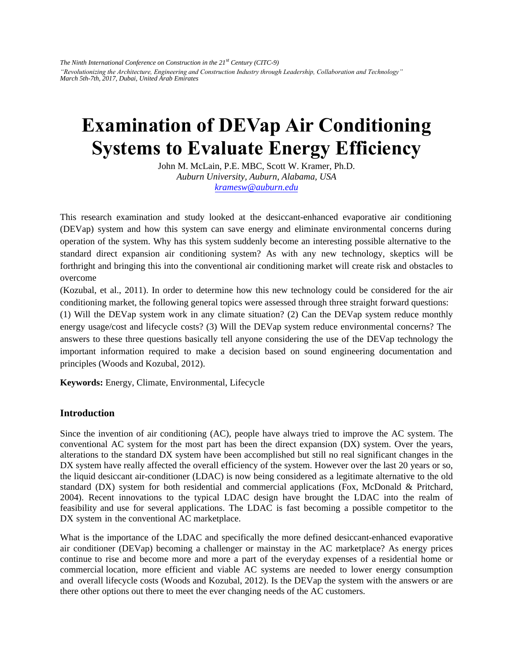*The Ninth International Conference on Construction in the 21st Century (CITC-9) "Revolutionizing the Architecture, Engineering and Construction Industry through Leadership, Collaboration and Technology" March 5th-7th, 2017, Dubai, United Arab Emirates* 

# **Examination of DEVap Air Conditioning Systems to Evaluate Energy Efficiency**

John M. McLain, P.E. MBC, Scott W. Kramer, Ph.D. *Auburn University, Auburn, Alabama, USA kramesw@auburn.edu*

This research examination and study looked at the desiccant-enhanced evaporative air conditioning (DEVap) system and how this system can save energy and eliminate environmental concerns during operation of the system. Why has this system suddenly become an interesting possible alternative to the standard direct expansion air conditioning system? As with any new technology, skeptics will be forthright and bringing this into the conventional air conditioning market will create risk and obstacles to overcome

(Kozubal, et al., 2011). In order to determine how this new technology could be considered for the air conditioning market, the following general topics were assessed through three straight forward questions:

(1) Will the DEVap system work in any climate situation? (2) Can the DEVap system reduce monthly energy usage/cost and lifecycle costs? (3) Will the DEVap system reduce environmental concerns? The answers to these three questions basically tell anyone considering the use of the DEVap technology the important information required to make a decision based on sound engineering documentation and principles (Woods and Kozubal, 2012).

**Keywords:** Energy, Climate, Environmental, Lifecycle

## **Introduction**

Since the invention of air conditioning (AC), people have always tried to improve the AC system. The conventional AC system for the most part has been the direct expansion (DX) system. Over the years, alterations to the standard DX system have been accomplished but still no real significant changes in the DX system have really affected the overall efficiency of the system. However over the last 20 years or so, the liquid desiccant air-conditioner (LDAC) is now being considered as a legitimate alternative to the old standard (DX) system for both residential and commercial applications (Fox, McDonald & Pritchard, 2004). Recent innovations to the typical LDAC design have brought the LDAC into the realm of feasibility and use for several applications. The LDAC is fast becoming a possible competitor to the DX system in the conventional AC marketplace.

What is the importance of the LDAC and specifically the more defined desiccant-enhanced evaporative air conditioner (DEVap) becoming a challenger or mainstay in the AC marketplace? As energy prices continue to rise and become more and more a part of the everyday expenses of a residential home or commercial location, more efficient and viable AC systems are needed to lower energy consumption and overall lifecycle costs (Woods and Kozubal, 2012). Is the DEVap the system with the answers or are there other options out there to meet the ever changing needs of the AC customers.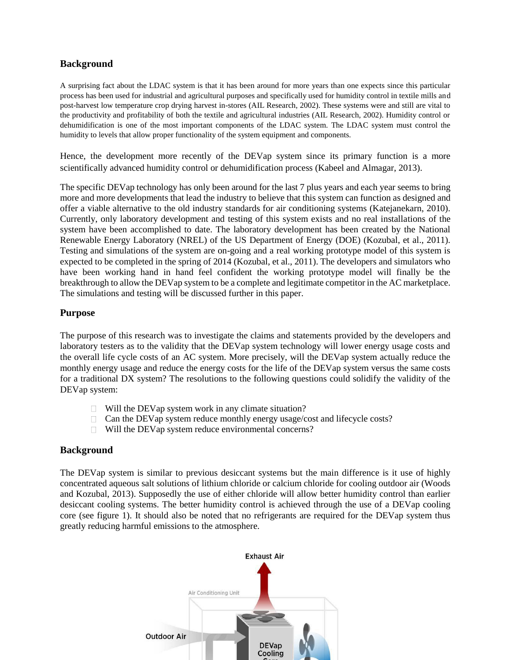# **Background**

A surprising fact about the LDAC system is that it has been around for more years than one expects since this particular process has been used for industrial and agricultural purposes and specifically used for humidity control in textile mills and post-harvest low temperature crop drying harvest in-stores (AIL Research, 2002). These systems were and still are vital to the productivity and profitability of both the textile and agricultural industries (AIL Research, 2002). Humidity control or dehumidification is one of the most important components of the LDAC system. The LDAC system must control the humidity to levels that allow proper functionality of the system equipment and components.

Hence, the development more recently of the DEVap system since its primary function is a more scientifically advanced humidity control or dehumidification process (Kabeel and Almagar, 2013).

The specific DEVap technology has only been around for the last 7 plus years and each year seems to bring more and more developments that lead the industry to believe that this system can function as designed and offer a viable alternative to the old industry standards for air conditioning systems (Katejanekarn, 2010). Currently, only laboratory development and testing of this system exists and no real installations of the system have been accomplished to date. The laboratory development has been created by the National Renewable Energy Laboratory (NREL) of the US Department of Energy (DOE) (Kozubal, et al., 2011). Testing and simulations of the system are on-going and a real working prototype model of this system is expected to be completed in the spring of 2014 (Kozubal, et al., 2011). The developers and simulators who have been working hand in hand feel confident the working prototype model will finally be the breakthrough to allow the DEVap system to be a complete and legitimate competitor in the AC marketplace. The simulations and testing will be discussed further in this paper.

## **Purpose**

The purpose of this research was to investigate the claims and statements provided by the developers and laboratory testers as to the validity that the DEVap system technology will lower energy usage costs and the overall life cycle costs of an AC system. More precisely, will the DEVap system actually reduce the monthly energy usage and reduce the energy costs for the life of the DEVap system versus the same costs for a traditional DX system? The resolutions to the following questions could solidify the validity of the DEVap system:

- $\Box$  Will the DEVap system work in any climate situation?
- $\Box$  Can the DEVap system reduce monthly energy usage/cost and lifecycle costs?
- Will the DEVap system reduce environmental concerns?

## **Background**

The DEVap system is similar to previous desiccant systems but the main difference is it use of highly concentrated aqueous salt solutions of lithium chloride or calcium chloride for cooling outdoor air (Woods and Kozubal, 2013). Supposedly the use of either chloride will allow better humidity control than earlier desiccant cooling systems. The better humidity control is achieved through the use of a DEVap cooling core (see figure 1). It should also be noted that no refrigerants are required for the DEVap system thus greatly reducing harmful emissions to the atmosphere.

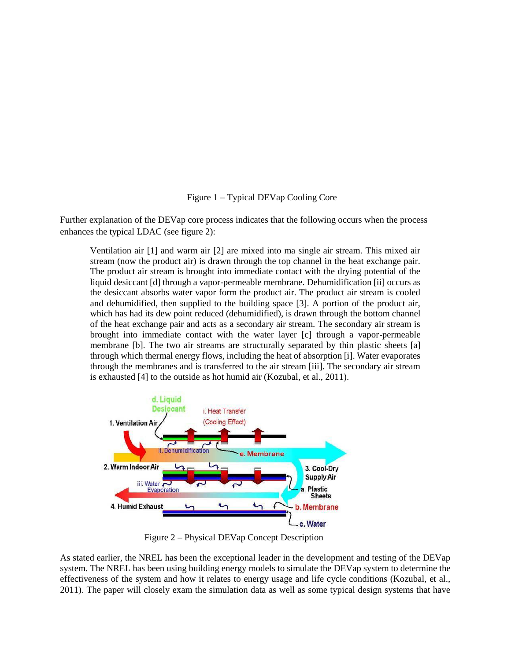## Figure 1 – Typical DEVap Cooling Core

Further explanation of the DEVap core process indicates that the following occurs when the process enhances the typical LDAC (see figure 2):

Ventilation air [1] and warm air [2] are mixed into ma single air stream. This mixed air stream (now the product air) is drawn through the top channel in the heat exchange pair. The product air stream is brought into immediate contact with the drying potential of the liquid desiccant [d] through a vapor-permeable membrane. Dehumidification [ii] occurs as the desiccant absorbs water vapor form the product air. The product air stream is cooled and dehumidified, then supplied to the building space [3]. A portion of the product air, which has had its dew point reduced (dehumidified), is drawn through the bottom channel of the heat exchange pair and acts as a secondary air stream. The secondary air stream is brought into immediate contact with the water layer [c] through a vapor-permeable membrane [b]. The two air streams are structurally separated by thin plastic sheets [a] through which thermal energy flows, including the heat of absorption [i]. Water evaporates through the membranes and is transferred to the air stream [iii]. The secondary air stream is exhausted [4] to the outside as hot humid air (Kozubal, et al., 2011).



Figure 2 – Physical DEVap Concept Description

As stated earlier, the NREL has been the exceptional leader in the development and testing of the DEVap system. The NREL has been using building energy models to simulate the DEVap system to determine the effectiveness of the system and how it relates to energy usage and life cycle conditions (Kozubal, et al., 2011). The paper will closely exam the simulation data as well as some typical design systems that have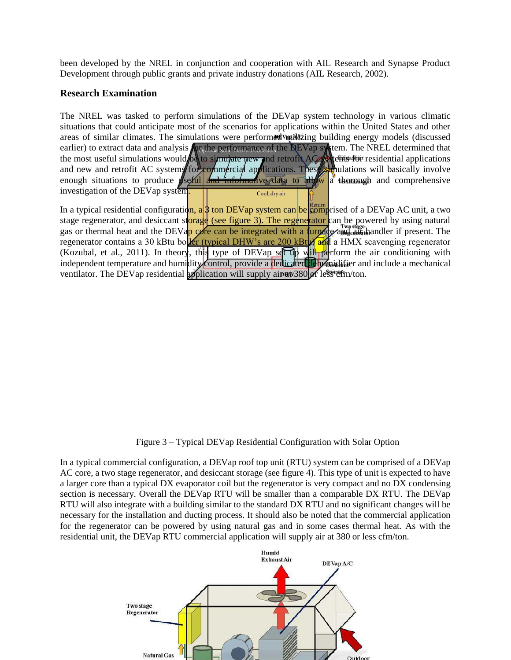been developed by the NREL in conjunction and cooperation with AIL Research and Synapse Product Development through public grants and private industry donations (AIL Research, 2002).

#### **Research Examination**

The NREL was tasked to perform simulations of the DEVap system technology in various climatic situations that could anticipate most of the scenarios for applications within the United States and other areas of similar climates. The simulations were performed variating building energy models (discussed earlier) to extract data and analysis **for the performance of the DEVap system**. The NREL determined that the most useful simulations would be to simulate new and retrofit AC stems for residential applications and new and retrofit AC systems for commercial applications. These simulations will basically involve enough situations to produce  $\sqrt{\text{seful}}$  and  $\frac{1}{\text{mech}}$  informative data to  $\frac{1}{\text{mech}}$  a thorough and comprehensive investigation of the DEVap system. Cool, dry air

In a typical residential configuration, a  $\frac{1}{2}$  ton DEVap system can be comprised of a DEVap AC unit, a two stage regenerator, and desiccant storage (see figure 3). The regenerator can be powered by using natural gas or thermal heat and the DEVap core can be integrated with a furnace and and and ler if present. The regenerator contains a 30 kBtu boller (typical DHW's are 200 kBtu) and a HMX scavenging regenerator (Kozubal, et al., 2011). In theory, this type of DEVap set up will perform the air conditioning with independent temperature and humidity control, provide a dedicated dehymidifier and include a mechanical ventilator. The DEVap residential application will supply air  $\frac{1}{2}$  and  $\frac{1}{2}$  are  $\frac{1}{2}$  and  $\frac{1}{2}$  and  $\frac{1}{2}$  and  $\frac{1}{2}$  are  $\frac{1}{2}$  and  $\frac{1}{2}$  are  $\frac{1}{2}$  and  $\frac{1}{2}$  are  $\frac{1}{2}$  and  $\frac{1$ 

Figure 3 – Typical DEVap Residential Configuration with Solar Option

In a typical commercial configuration, a DEVap roof top unit (RTU) system can be comprised of a DEVap AC core, a two stage regenerator, and desiccant storage (see figure 4). This type of unit is expected to have a larger core than a typical DX evaporator coil but the regenerator is very compact and no DX condensing section is necessary. Overall the DEVap RTU will be smaller than a comparable DX RTU. The DEVap RTU will also integrate with a building similar to the standard DX RTU and no significant changes will be necessary for the installation and ducting process. It should also be noted that the commercial application for the regenerator can be powered by using natural gas and in some cases thermal heat. As with the residential unit, the DEVap RTU commercial application will supply air at 380 or less cfm/ton.

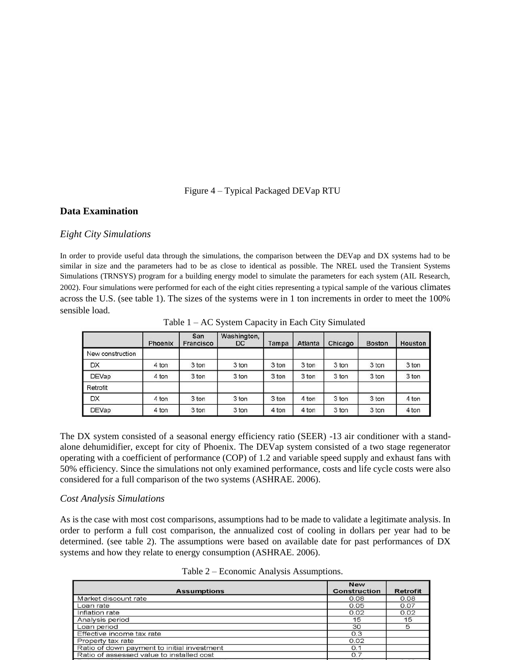#### Figure 4 – Typical Packaged DEVap RTU

#### **Data Examination**

#### *Eight City Simulations*

In order to provide useful data through the simulations, the comparison between the DEVap and DX systems had to be similar in size and the parameters had to be as close to identical as possible. The NREL used the Transient Systems Simulations (TRNSYS) program for a building energy model to simulate the parameters for each system (AIL Research, 2002). Four simulations were performed for each of the eight cities representing a typical sample of the various climates across the U.S. (see table 1). The sizes of the systems were in 1 ton increments in order to meet the 100% sensible load.

|                  | Phoenix | San<br>Francisco | Washington,<br>DC. | Tampa | Atlanta | Chicago | <b>Boston</b> | Houston |
|------------------|---------|------------------|--------------------|-------|---------|---------|---------------|---------|
| New construction |         |                  |                    |       |         |         |               |         |
| DX               | 4 ton   | 3 ton            | 3 ton              | 3 ton | 3 ton   | 3 ton   | 3 ton         | 3 ton   |
| <b>DEVap</b>     | 4 ton   | 3 ton            | 3 ton              | 3 ton | 3 ton   | 3 ton   | 3 ton         | 3 ton   |
| Retrofit         |         |                  |                    |       |         |         |               |         |
| DX               | 4 ton   | 3 ton            | 3 ton              | 3 ton | 4 ton   | 3 ton   | 3 ton         | 4 ton   |
| <b>DEVap</b>     | 4 ton   | 3 ton            | 3 ton              | 4 ton | 4 ton   | 3 ton   | 3 ton         | 4 ton   |

Table 1 – AC System Capacity in Each City Simulated

The DX system consisted of a seasonal energy efficiency ratio (SEER) -13 air conditioner with a standalone dehumidifier, except for city of Phoenix. The DEVap system consisted of a two stage regenerator operating with a coefficient of performance (COP) of 1.2 and variable speed supply and exhaust fans with 50% efficiency. Since the simulations not only examined performance, costs and life cycle costs were also considered for a full comparison of the two systems (ASHRAE. 2006).

#### *Cost Analysis Simulations*

As is the case with most cost comparisons, assumptions had to be made to validate a legitimate analysis. In order to perform a full cost comparison, the annualized cost of cooling in dollars per year had to be determined. (see table 2). The assumptions were based on available date for past performances of DX systems and how they relate to energy consumption (ASHRAE. 2006).

| <b>Assumptions</b>                          | <b>New</b><br><b>Construction</b> | <b>Retrot</b> |  |  |  |  |
|---------------------------------------------|-----------------------------------|---------------|--|--|--|--|
| Market discount rate                        | 0.08                              | 0.08          |  |  |  |  |
| Loan rate                                   | 0.05                              | 0.07          |  |  |  |  |
| Inflation rate                              | 0.02                              | 0.02          |  |  |  |  |
| Analysis period                             | 15                                | 15            |  |  |  |  |
| Loan period                                 | 30                                | 5             |  |  |  |  |
| Effective income tax rate                   | 0.3                               |               |  |  |  |  |
| Property tax rate                           | 0.02                              |               |  |  |  |  |
| Ratio of down payment to initial investment | O.1                               |               |  |  |  |  |
| Ratio of assessed value to installed cost   | O.7                               |               |  |  |  |  |
|                                             |                                   |               |  |  |  |  |

Table 2 – Economic Analysis Assumptions.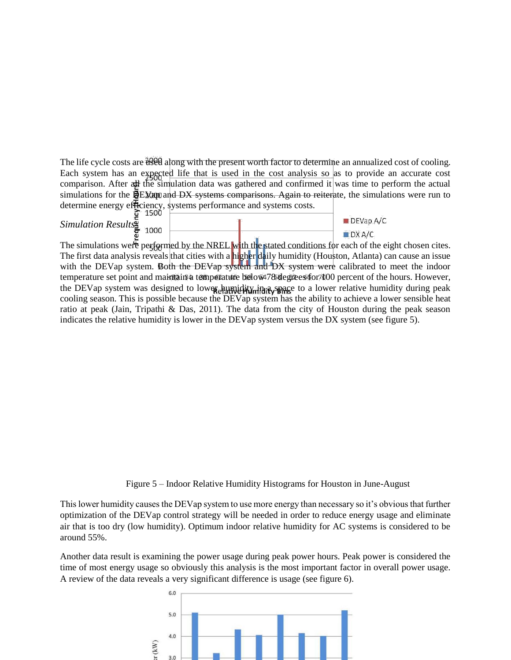The life cycle costs are  $\frac{3000}{1000}$  along with the present worth factor to determine an annualized cost of cooling. Each system has an expected life that is used in the cost analysis so as to provide an accurate cost comparison. After all the simulation data was gathered and confirmed it was time to perform the actual simulations for the **DEXap** and DX systems comparisons. Again to reiterate, the simulations were run to determine energy efficiency, systems performance and systems costs.

| Simulation Results | ェンシン |  | $\blacksquare$ DEVap A/C |
|--------------------|------|--|--------------------------|
|                    | 1000 |  | $\blacksquare$ DX A/C    |

The simulations were performed by the NREL with the stated conditions for each of the eight chosen cites. The first data analysis reveals that cities with a higher daily humidity (Houston, Atlanta) can cause an issue with the DEVap system. Both the DEVap system and DX system were calibrated to meet the indoor temperature set point and maintain a temperature below 478 degrees for 100 percent of the hours. However, the DEVap system was designed to lower humidity in a space to a lower relative humidity during peak cooling season. This is possible because the DEVap system has the ability to achieve a lower sensible heat ratio at peak (Jain, Tripathi & Das, 2011). The data from the city of Houston during the peak season indicates the relative humidity is lower in the DEVap system versus the DX system (see figure 5).

Figure 5 – Indoor Relative Humidity Histograms for Houston in June-August

This lower humidity causes the DEVap system to use more energy than necessary so it's obvious that further optimization of the DEVap control strategy will be needed in order to reduce energy usage and eliminate air that is too dry (low humidity). Optimum indoor relative humidity for AC systems is considered to be around 55%.

Another data result is examining the power usage during peak power hours. Peak power is considered the time of most energy usage so obviously this analysis is the most important factor in overall power usage. A review of the data reveals a very significant difference is usage (see figure 6).

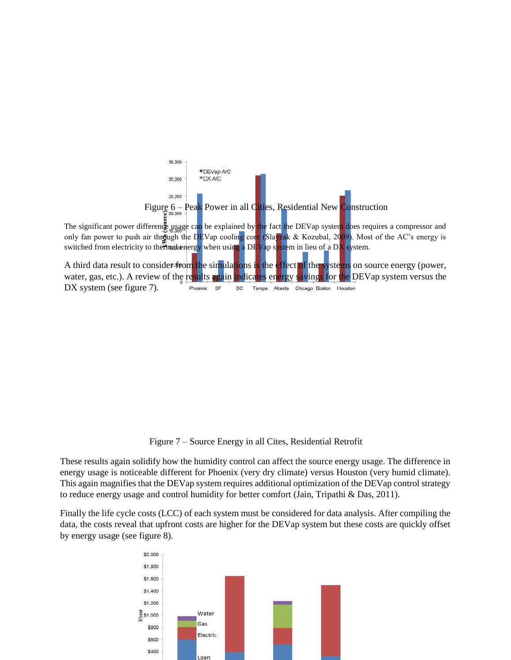

Figure 7 – Source Energy in all Cites, Residential Retrofit

These results again solidify how the humidity control can affect the source energy usage. The difference in energy usage is noticeable different for Phoenix (very dry climate) versus Houston (very humid climate). This again magnifies that the DEVap system requires additional optimization of the DEVap control strategy to reduce energy usage and control humidity for better comfort (Jain, Tripathi & Das, 2011).

Finally the life cycle costs (LCC) of each system must be considered for data analysis. After compiling the data, the costs reveal that upfront costs are higher for the DEVap system but these costs are quickly offset by energy usage (see figure 8).

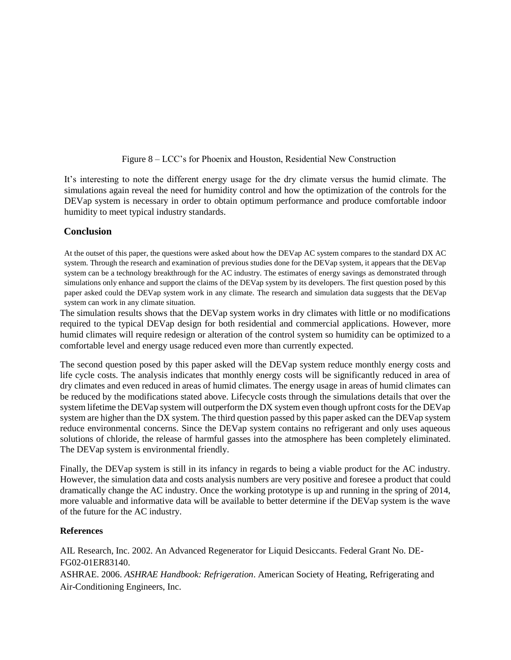#### Figure 8 – LCC's for Phoenix and Houston, Residential New Construction

It's interesting to note the different energy usage for the dry climate versus the humid climate. The simulations again reveal the need for humidity control and how the optimization of the controls for the DEVap system is necessary in order to obtain optimum performance and produce comfortable indoor humidity to meet typical industry standards.

## **Conclusion**

At the outset of this paper, the questions were asked about how the DEVap AC system compares to the standard DX AC system. Through the research and examination of previous studies done for the DEVap system, it appears that the DEVap system can be a technology breakthrough for the AC industry. The estimates of energy savings as demonstrated through simulations only enhance and support the claims of the DEVap system by its developers. The first question posed by this paper asked could the DEVap system work in any climate. The research and simulation data suggests that the DEVap system can work in any climate situation.

The simulation results shows that the DEVap system works in dry climates with little or no modifications required to the typical DEVap design for both residential and commercial applications. However, more humid climates will require redesign or alteration of the control system so humidity can be optimized to a comfortable level and energy usage reduced even more than currently expected.

The second question posed by this paper asked will the DEVap system reduce monthly energy costs and life cycle costs. The analysis indicates that monthly energy costs will be significantly reduced in area of dry climates and even reduced in areas of humid climates. The energy usage in areas of humid climates can be reduced by the modifications stated above. Lifecycle costs through the simulations details that over the system lifetime the DEVap system will outperform the DX system even though upfront costs for the DEVap system are higher than the DX system. The third question passed by this paper asked can the DEVap system reduce environmental concerns. Since the DEVap system contains no refrigerant and only uses aqueous solutions of chloride, the release of harmful gasses into the atmosphere has been completely eliminated. The DEVap system is environmental friendly.

Finally, the DEVap system is still in its infancy in regards to being a viable product for the AC industry. However, the simulation data and costs analysis numbers are very positive and foresee a product that could dramatically change the AC industry. Once the working prototype is up and running in the spring of 2014, more valuable and informative data will be available to better determine if the DEVap system is the wave of the future for the AC industry.

#### **References**

AIL Research, Inc. 2002. An Advanced Regenerator for Liquid Desiccants. Federal Grant No. DE-FG02-01ER83140. ASHRAE. 2006. *ASHRAE Handbook: Refrigeration*. American Society of Heating, Refrigerating and Air-Conditioning Engineers, Inc.